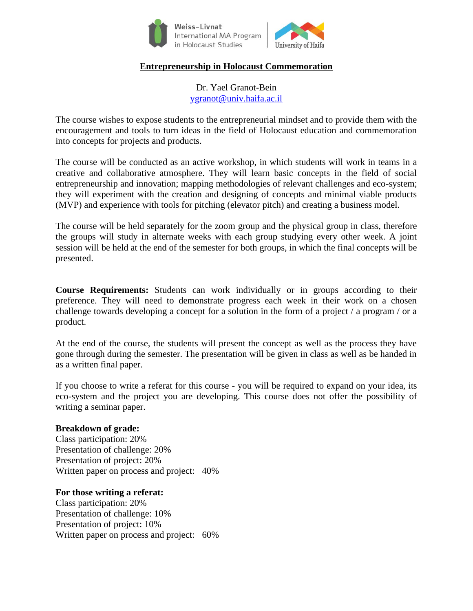

# **Entrepreneurship in Holocaust Commemoration**

Dr. Yael Granot-Bein [ygranot@univ.haifa.ac.il](mailto:ygranot@univ.haifa.ac.il)

The course wishes to expose students to the entrepreneurial mindset and to provide them with the encouragement and tools to turn ideas in the field of Holocaust education and commemoration into concepts for projects and products.

The course will be conducted as an active workshop, in which students will work in teams in a creative and collaborative atmosphere. They will learn basic concepts in the field of social entrepreneurship and innovation; mapping methodologies of relevant challenges and eco-system; they will experiment with the creation and designing of concepts and minimal viable products (MVP) and experience with tools for pitching (elevator pitch) and creating a business model.

The course will be held separately for the zoom group and the physical group in class, therefore the groups will study in alternate weeks with each group studying every other week. A joint session will be held at the end of the semester for both groups, in which the final concepts will be presented.

**Course Requirements:** Students can work individually or in groups according to their preference. They will need to demonstrate progress each week in their work on a chosen challenge towards developing a concept for a solution in the form of a project / a program / or a product.

At the end of the course, the students will present the concept as well as the process they have gone through during the semester. The presentation will be given in class as well as be handed in as a written final paper.

If you choose to write a referat for this course - you will be required to expand on your idea, its eco-system and the project you are developing. This course does not offer the possibility of writing a seminar paper.

#### **Breakdown of grade:**

Class participation: 20% Presentation of challenge: 20% Presentation of project: 20% Written paper on process and project: 40%

#### **For those writing a referat:**

Class participation: 20% Presentation of challenge: 10% Presentation of project: 10% Written paper on process and project: 60%